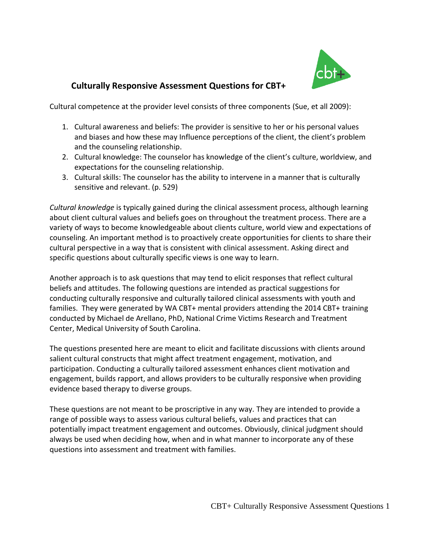

# **Culturally Responsive Assessment Questions for CBT+**

Cultural competence at the provider level consists of three components (Sue, et all 2009):

- 1. Cultural awareness and beliefs: The provider is sensitive to her or his personal values and biases and how these may Influence perceptions of the client, the client's problem and the counseling relationship.
- 2. Cultural knowledge: The counselor has knowledge of the client's culture, worldview, and expectations for the counseling relationship.
- 3. Cultural skills: The counselor has the ability to intervene in a manner that is culturally sensitive and relevant. (p. 529)

*Cultural knowledge* is typically gained during the clinical assessment process, although learning about client cultural values and beliefs goes on throughout the treatment process. There are a variety of ways to become knowledgeable about clients culture, world view and expectations of counseling. An important method is to proactively create opportunities for clients to share their cultural perspective in a way that is consistent with clinical assessment. Asking direct and specific questions about culturally specific views is one way to learn.

Another approach is to ask questions that may tend to elicit responses that reflect cultural beliefs and attitudes. The following questions are intended as practical suggestions for conducting culturally responsive and culturally tailored clinical assessments with youth and families. They were generated by WA CBT+ mental providers attending the 2014 CBT+ training conducted by Michael de Arellano, PhD, National Crime Victims Research and Treatment Center, Medical University of South Carolina.

The questions presented here are meant to elicit and facilitate discussions with clients around salient cultural constructs that might affect treatment engagement, motivation, and participation. Conducting a culturally tailored assessment enhances client motivation and engagement, builds rapport, and allows providers to be culturally responsive when providing evidence based therapy to diverse groups.

These questions are not meant to be proscriptive in any way. They are intended to provide a range of possible ways to assess various cultural beliefs, values and practices that can potentially impact treatment engagement and outcomes. Obviously, clinical judgment should always be used when deciding how, when and in what manner to incorporate any of these questions into assessment and treatment with families.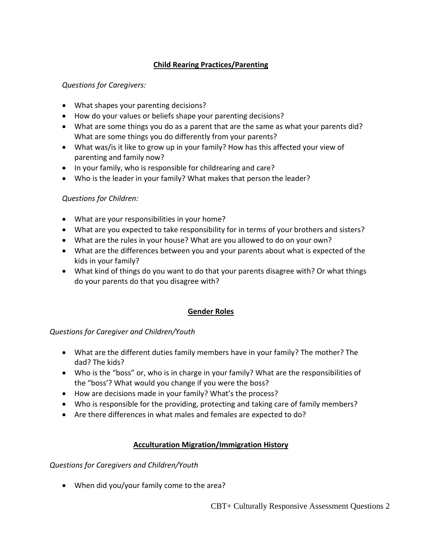# **Child Rearing Practices/Parenting**

## *Questions for Caregivers:*

- What shapes your parenting decisions?
- How do your values or beliefs shape your parenting decisions?
- What are some things you do as a parent that are the same as what your parents did? What are some things you do differently from your parents?
- What was/is it like to grow up in your family? How has this affected your view of parenting and family now?
- In your family, who is responsible for childrearing and care?
- Who is the leader in your family? What makes that person the leader?

### *Questions for Children:*

- What are your responsibilities in your home?
- What are you expected to take responsibility for in terms of your brothers and sisters?
- What are the rules in your house? What are you allowed to do on your own?
- What are the differences between you and your parents about what is expected of the kids in your family?
- What kind of things do you want to do that your parents disagree with? Or what things do your parents do that you disagree with?

## **Gender Roles**

### *Questions for Caregiver and Children/Youth*

- What are the different duties family members have in your family? The mother? The dad? The kids?
- Who is the "boss" or, who is in charge in your family? What are the responsibilities of the "boss'? What would you change if you were the boss?
- How are decisions made in your family? What's the process?
- Who is responsible for the providing, protecting and taking care of family members?
- Are there differences in what males and females are expected to do?

### **Acculturation Migration/Immigration History**

*Questions for Caregivers and Children/Youth*

When did you/your family come to the area?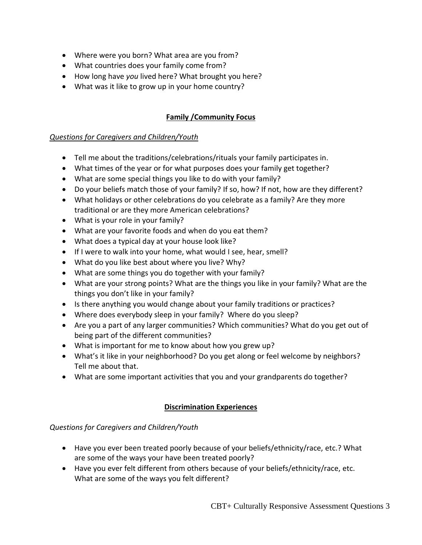- Where were you born? What area are you from?
- What countries does your family come from?
- How long have *you* lived here? What brought you here?
- What was it like to grow up in your home country?

### **Family /Community Focus**

#### *Questions for Caregivers and Children/Youth*

- Tell me about the traditions/celebrations/rituals your family participates in.
- What times of the year or for what purposes does your family get together?
- What are some special things you like to do with your family?
- Do your beliefs match those of your family? If so, how? If not, how are they different?
- What holidays or other celebrations do you celebrate as a family? Are they more traditional or are they more American celebrations?
- What is your role in your family?
- What are your favorite foods and when do you eat them?
- What does a typical day at your house look like?
- If I were to walk into your home, what would I see, hear, smell?
- What do you like best about where you live? Why?
- What are some things you do together with your family?
- What are your strong points? What are the things you like in your family? What are the things you don't like in your family?
- Is there anything you would change about your family traditions or practices?
- Where does everybody sleep in your family? Where do you sleep?
- Are you a part of any larger communities? Which communities? What do you get out of being part of the different communities?
- What is important for me to know about how you grew up?
- What's it like in your neighborhood? Do you get along or feel welcome by neighbors? Tell me about that.
- What are some important activities that you and your grandparents do together?

### **Discrimination Experiences**

### *Questions for Caregivers and Children/Youth*

- Have you ever been treated poorly because of your beliefs/ethnicity/race, etc.? What are some of the ways your have been treated poorly?
- Have you ever felt different from others because of your beliefs/ethnicity/race, etc. What are some of the ways you felt different?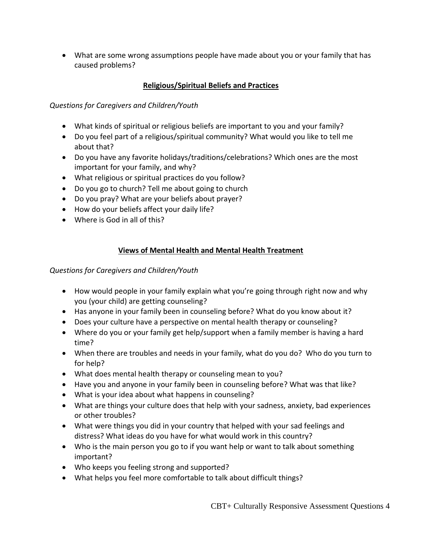What are some wrong assumptions people have made about you or your family that has caused problems?

## **Religious/Spiritual Beliefs and Practices**

*Questions for Caregivers and Children/Youth*

- What kinds of spiritual or religious beliefs are important to you and your family?
- Do you feel part of a religious/spiritual community? What would you like to tell me about that?
- Do you have any favorite holidays/traditions/celebrations? Which ones are the most important for your family, and why?
- What religious or spiritual practices do you follow?
- Do you go to church? Tell me about going to church
- Do you pray? What are your beliefs about prayer?
- How do your beliefs affect your daily life?
- Where is God in all of this?

## **Views of Mental Health and Mental Health Treatment**

*Questions for Caregivers and Children/Youth*

- How would people in your family explain what you're going through right now and why you (your child) are getting counseling?
- Has anyone in your family been in counseling before? What do you know about it?
- Does your culture have a perspective on mental health therapy or counseling?
- Where do you or your family get help/support when a family member is having a hard time?
- When there are troubles and needs in your family, what do you do? Who do you turn to for help?
- What does mental health therapy or counseling mean to you?
- Have you and anyone in your family been in counseling before? What was that like?
- What is your idea about what happens in counseling?
- What are things your culture does that help with your sadness, anxiety, bad experiences or other troubles?
- What were things you did in your country that helped with your sad feelings and distress? What ideas do you have for what would work in this country?
- Who is the main person you go to if you want help or want to talk about something important?
- Who keeps you feeling strong and supported?
- What helps you feel more comfortable to talk about difficult things?